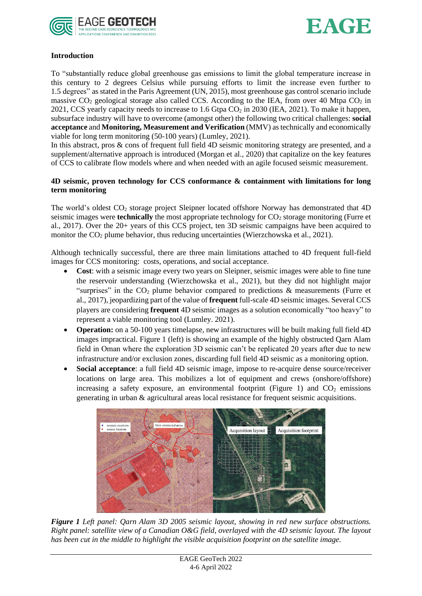



# **Introduction**

To "substantially reduce global greenhouse gas emissions to limit the global temperature increase in this century to 2 degrees Celsius while pursuing efforts to limit the increase even further to 1.5 degrees" as stated in the Paris Agreement (UN, 2015), most greenhouse gas control scenario include massive  $CO_2$  geological storage also called CCS. According to the IEA, from over 40 Mtpa  $CO_2$  in 2021, CCS yearly capacity needs to increase to 1.6 Gtpa CO<sup>2</sup> in 2030 (IEA, 2021). To make it happen, subsurface industry will have to overcome (amongst other) the following two critical challenges: **social acceptance** and **Monitoring, Measurement and Verification** (MMV) as technically and economically viable for long term monitoring (50-100 years) (Lumley, 2021).

In this abstract, pros & cons of frequent full field 4D seismic monitoring strategy are presented, and a supplement/alternative approach is introduced (Morgan et al., 2020) that capitalize on the key features of CCS to calibrate flow models where and when needed with an agile focused seismic measurement.

## **4D seismic, proven technology for CCS conformance & containment with limitations for long term monitoring**

The world's oldest CO<sub>2</sub> storage project Sleipner located offshore Norway has demonstrated that 4D seismic images were **technically** the most appropriate technology for CO<sub>2</sub> storage monitoring (Furre et al., 2017). Over the 20+ years of this CCS project, ten 3D seismic campaigns have been acquired to monitor the CO<sub>2</sub> plume behavior, thus reducing uncertainties (Wierzchowska et al., 2021).

Although technically successful, there are three main limitations attached to 4D frequent full-field images for CCS monitoring: costs, operations, and social acceptance.

- **Cost**: with a seismic image every two years on Sleipner, seismic images were able to fine tune the reservoir understanding (Wierzchowska et al., 2021), but they did not highlight major "surprises" in the  $CO<sub>2</sub>$  plume behavior compared to predictions  $\&$  measurements (Furre et al., 2017), jeopardizing part of the value of **frequent** full-scale 4D seismic images. Several CCS players are considering **frequent** 4D seismic images as a solution economically "too heavy" to represent a viable monitoring tool (Lumley. 2021).
- **Operation:** on a 50-100 years timelapse, new infrastructures will be built making full field 4D images impractical. Figure 1 (left) is showing an example of the highly obstructed Qarn Alam field in Oman where the exploration 3D seismic can't be replicated 20 years after due to new infrastructure and/or exclusion zones, discarding full field 4D seismic as a monitoring option.
- **Social acceptance**: a full field 4D seismic image, impose to re-acquire dense source/receiver locations on large area. This mobilizes a lot of equipment and crews (onshore/offshore) increasing a safety exposure, an environmental footprint (Figure 1) and  $CO<sub>2</sub>$  emissions generating in urban & agricultural areas local resistance for frequent seismic acquisitions.



*Figure 1 Left panel: Qarn Alam 3D 2005 seismic layout, showing in red new surface obstructions. Right panel: satellite view of a Canadian O&G field, overlayed with the 4D seismic layout. The layout has been cut in the middle to highlight the visible acquisition footprint on the satellite image.*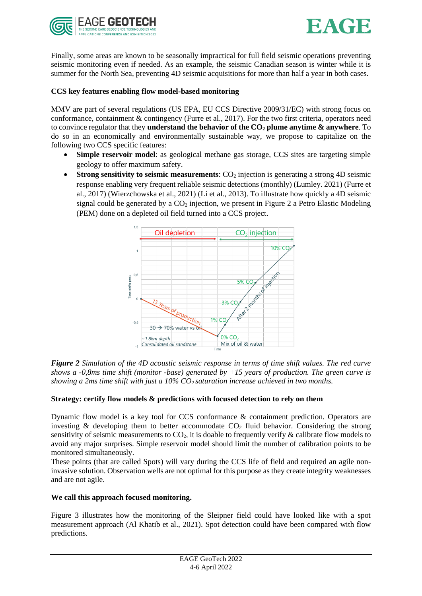



Finally, some areas are known to be seasonally impractical for full field seismic operations preventing seismic monitoring even if needed. As an example, the seismic Canadian season is winter while it is summer for the North Sea, preventing 4D seismic acquisitions for more than half a year in both cases.

### **CCS key features enabling flow model-based monitoring**

MMV are part of several regulations (US EPA, EU CCS Directive 2009/31/EC) with strong focus on conformance, containment & contingency (Furre et al., 2017). For the two first criteria, operators need to convince regulator that they **understand the behavior of the CO<sup>2</sup> plume anytime & anywhere**. To do so in an economically and environmentally sustainable way, we propose to capitalize on the following two CCS specific features:

- **Simple reservoir model:** as geological methane gas storage, CCS sites are targeting simple geology to offer maximum safety.
- **Strong sensitivity to seismic measurements:** CO<sub>2</sub> injection is generating a strong 4D seismic response enabling very frequent reliable seismic detections (monthly) (Lumley. 2021) (Furre et al., 2017) (Wierzchowska et al., 2021) (Li et al., 2013). To illustrate how quickly a 4D seismic signal could be generated by a  $CO<sub>2</sub>$  injection, we present in Figure 2 a Petro Elastic Modeling (PEM) done on a depleted oil field turned into a CCS project.



*Figure 2 Simulation of the 4D acoustic seismic response in terms of time shift values. The red curve shows a -0,8ms time shift (monitor -base) generated by +15 years of production. The green curve is showing a 2ms time shift with just a 10% CO2 saturation increase achieved in two months.* 

#### **Strategy: certify flow models & predictions with focused detection to rely on them**

Dynamic flow model is a key tool for CCS conformance & containment prediction. Operators are investing  $\&$  developing them to better accommodate  $CO<sub>2</sub>$  fluid behavior. Considering the strong sensitivity of seismic measurements to  $CO<sub>2</sub>$ , it is doable to frequently verify & calibrate flow models to avoid any major surprises. Simple reservoir model should limit the number of calibration points to be monitored simultaneously.

These points (that are called Spots) will vary during the CCS life of field and required an agile noninvasive solution. Observation wells are not optimal for this purpose as they create integrity weaknesses and are not agile.

#### **We call this approach focused monitoring.**

Figure 3 illustrates how the monitoring of the Sleipner field could have looked like with a spot measurement approach (Al Khatib et al., 2021). Spot detection could have been compared with flow predictions.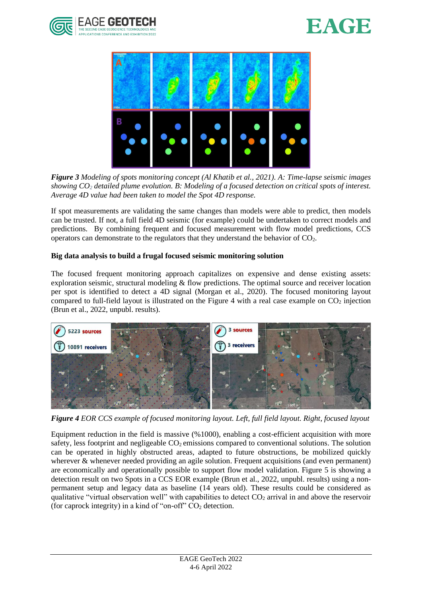





*Figure 3 Modeling of spots monitoring concept (Al Khatib et al., 2021). A: Time-lapse seismic images showing CO<sup>2</sup> detailed plume evolution. B: Modeling of a focused detection on critical spots of interest. Average 4D value had been taken to model the Spot 4D response.* 

If spot measurements are validating the same changes than models were able to predict, then models can be trusted. If not, a full field 4D seismic (for example) could be undertaken to correct models and predictions. By combining frequent and focused measurement with flow model predictions, CCS operators can demonstrate to the regulators that they understand the behavior of  $CO<sub>2</sub>$ .

## **Big data analysis to build a frugal focused seismic monitoring solution**

The focused frequent monitoring approach capitalizes on expensive and dense existing assets: exploration seismic, structural modeling & flow predictions. The optimal source and receiver location per spot is identified to detect a 4D signal (Morgan et al., 2020). The focused monitoring layout compared to full-field layout is illustrated on the Figure 4 with a real case example on  $CO<sub>2</sub>$  injection (Brun et al., 2022, unpubl. results).



*Figure 4 EOR CCS example of focused monitoring layout. Left, full field layout. Right, focused layout*

Equipment reduction in the field is massive (%1000), enabling a cost-efficient acquisition with more safety, less footprint and negligeable  $CO<sub>2</sub>$  emissions compared to conventional solutions. The solution can be operated in highly obstructed areas, adapted to future obstructions, be mobilized quickly wherever & whenever needed providing an agile solution. Frequent acquisitions (and even permanent) are economically and operationally possible to support flow model validation. Figure 5 is showing a detection result on two Spots in a CCS EOR example (Brun et al., 2022, unpubl. results) using a nonpermanent setup and legacy data as baseline (14 years old). These results could be considered as qualitative "virtual observation well" with capabilities to detect  $CO<sub>2</sub>$  arrival in and above the reservoir (for caprock integrity) in a kind of "on-off"  $CO<sub>2</sub>$  detection.